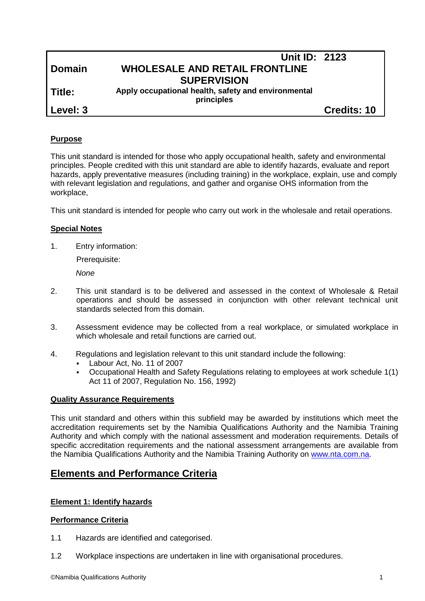|               | <b>Unit ID: 2123</b>                                |                    |
|---------------|-----------------------------------------------------|--------------------|
| <b>Domain</b> | <b>WHOLESALE AND RETAIL FRONTLINE</b>               |                    |
|               | <b>SUPERVISION</b>                                  |                    |
| l Title:      | Apply occupational health, safety and environmental |                    |
|               | principles                                          |                    |
| Level: 3      |                                                     | <b>Credits: 10</b> |

### **Purpose**

This unit standard is intended for those who apply occupational health, safety and environmental principles. People credited with this unit standard are able to identify hazards, evaluate and report hazards, apply preventative measures (including training) in the workplace, explain, use and comply with relevant legislation and regulations, and gather and organise OHS information from the workplace,

This unit standard is intended for people who carry out work in the wholesale and retail operations.

#### **Special Notes**

1. Entry information:

Prerequisite:

*None*

- 2. This unit standard is to be delivered and assessed in the context of Wholesale & Retail operations and should be assessed in conjunction with other relevant technical unit standards selected from this domain.
- 3. Assessment evidence may be collected from a real workplace, or simulated workplace in which wholesale and retail functions are carried out.
- 4. Regulations and legislation relevant to this unit standard include the following:
	- Labour Act, No. 11 of 2007
	- Occupational Health and Safety Regulations relating to employees at work schedule 1(1) Act 11 of 2007, Regulation No. 156, 1992)

#### **Quality Assurance Requirements**

This unit standard and others within this subfield may be awarded by institutions which meet the accreditation requirements set by the Namibia Qualifications Authority and the Namibia Training Authority and which comply with the national assessment and moderation requirements. Details of specific accreditation requirements and the national assessment arrangements are available from the Namibia Qualifications Authority and the Namibia Training Authority on [www.nta.com.na.](http://www.nta.com.na/)

# **Elements and Performance Criteria**

#### **Element 1: Identify hazards**

#### **Performance Criteria**

- 1.1 Hazards are identified and categorised.
- 1.2 Workplace inspections are undertaken in line with organisational procedures.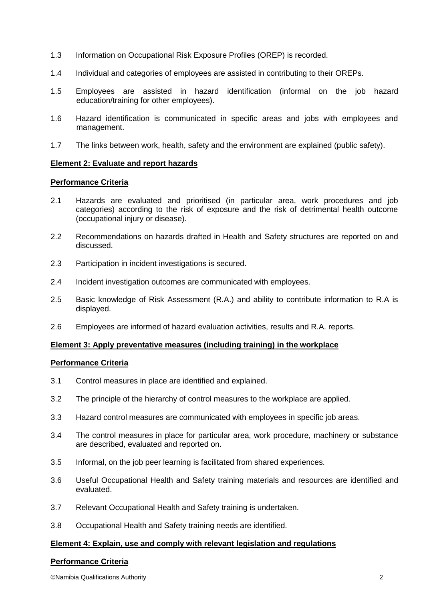- 1.3 Information on Occupational Risk Exposure Profiles (OREP) is recorded.
- 1.4 Individual and categories of employees are assisted in contributing to their OREPs.
- 1.5 Employees are assisted in hazard identification (informal on the job hazard education/training for other employees).
- 1.6 Hazard identification is communicated in specific areas and jobs with employees and management.
- 1.7 The links between work, health, safety and the environment are explained (public safety).

## **Element 2: Evaluate and report hazards**

## **Performance Criteria**

- 2.1 Hazards are evaluated and prioritised (in particular area, work procedures and job categories) according to the risk of exposure and the risk of detrimental health outcome (occupational injury or disease).
- 2.2 Recommendations on hazards drafted in Health and Safety structures are reported on and discussed.
- 2.3 Participation in incident investigations is secured.
- 2.4 Incident investigation outcomes are communicated with employees.
- 2.5 Basic knowledge of Risk Assessment (R.A.) and ability to contribute information to R.A is displayed.
- 2.6 Employees are informed of hazard evaluation activities, results and R.A. reports.

## **Element 3: Apply preventative measures (including training) in the workplace**

#### **Performance Criteria**

- 3.1 Control measures in place are identified and explained.
- 3.2 The principle of the hierarchy of control measures to the workplace are applied.
- 3.3 Hazard control measures are communicated with employees in specific job areas.
- 3.4 The control measures in place for particular area, work procedure, machinery or substance are described, evaluated and reported on.
- 3.5 Informal, on the job peer learning is facilitated from shared experiences.
- 3.6 Useful Occupational Health and Safety training materials and resources are identified and evaluated.
- 3.7 Relevant Occupational Health and Safety training is undertaken.
- 3.8 Occupational Health and Safety training needs are identified.

## **Element 4: Explain, use and comply with relevant legislation and regulations**

## **Performance Criteria**

©Namibia Qualifications Authority 2